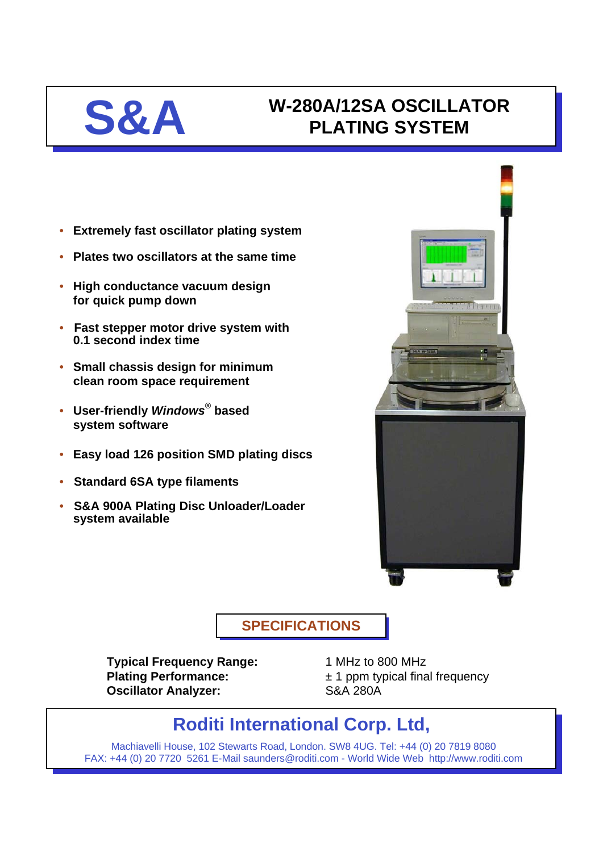# **S&A W-280A/12SA OSCILLATOR PLATING SYSTEM PLATING SYSTEM**

- **Extremely fast oscillator plating system**
- **Plates two oscillators at the same time**
- **High conductance vacuum design for quick pump down**
- **Fast stepper motor drive system with 0.1 second index time**
- **Small chassis design for minimum clean room space requirement**
- **User-friendly** *Windows®* **based system software**
- **Easy load 126 position SMD plating discs**
- **Standard 6SA type filaments**
- **S&A 900A Plating Disc Unloader/Loader system available**



**SPECIFICATIONS SPECIFICATIONS**

**Typical Frequency Range:** 1 MHz to 800 MHz **Oscillator Analyzer:** S&A 280A

**Plating Performance:**  $\pm 1$  ppm typical final frequency

# **Roditi International Corp. Ltd,**

Machiavelli House, 102 Stewarts Road, London. SW8 4UG. Tel: +44 (0) 20 7819 8080 FAX: +44 (0) 20 7720 5261 E-Mail saunders@roditi.com - World Wide Web http://www.roditi.com